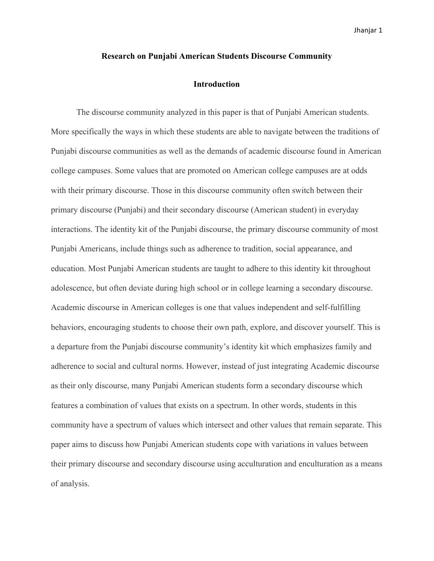## **Research on Punjabi American Students Discourse Community**

### **Introduction**

The discourse community analyzed in this paper is that of Punjabi American students. More specifically the ways in which these students are able to navigate between the traditions of Punjabi discourse communities as well as the demands of academic discourse found in American college campuses. Some values that are promoted on American college campuses are at odds with their primary discourse. Those in this discourse community often switch between their primary discourse (Punjabi) and their secondary discourse (American student) in everyday interactions. The identity kit of the Punjabi discourse, the primary discourse community of most Punjabi Americans, include things such as adherence to tradition, social appearance, and education. Most Punjabi American students are taught to adhere to this identity kit throughout adolescence, but often deviate during high school or in college learning a secondary discourse. Academic discourse in American colleges is one that values independent and self-fulfilling behaviors, encouraging students to choose their own path, explore, and discover yourself. This is a departure from the Punjabi discourse community's identity kit which emphasizes family and adherence to social and cultural norms. However, instead of just integrating Academic discourse as their only discourse, many Punjabi American students form a secondary discourse which features a combination of values that exists on a spectrum. In other words, students in this community have a spectrum of values which intersect and other values that remain separate. This paper aims to discuss how Punjabi American students cope with variations in values between their primary discourse and secondary discourse using acculturation and enculturation as a means of analysis.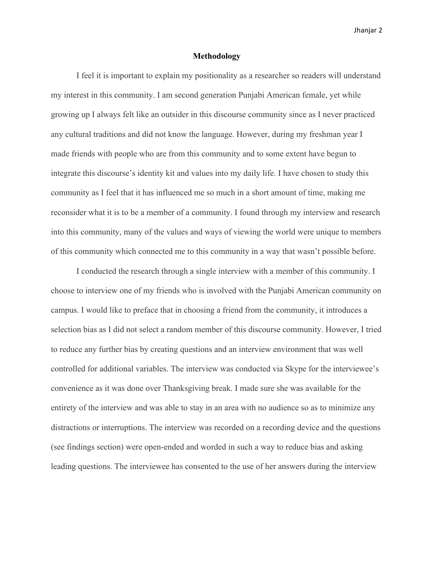## **Methodology**

I feel it is important to explain my positionality as a researcher so readers will understand my interest in this community. I am second generation Punjabi American female, yet while growing up I always felt like an outsider in this discourse community since as I never practiced any cultural traditions and did not know the language. However, during my freshman year I made friends with people who are from this community and to some extent have begun to integrate this discourse's identity kit and values into my daily life. I have chosen to study this community as I feel that it has influenced me so much in a short amount of time, making me reconsider what it is to be a member of a community. I found through my interview and research into this community, many of the values and ways of viewing the world were unique to members of this community which connected me to this community in a way that wasn't possible before.

I conducted the research through a single interview with a member of this community. I choose to interview one of my friends who is involved with the Punjabi American community on campus. I would like to preface that in choosing a friend from the community, it introduces a selection bias as I did not select a random member of this discourse community. However, I tried to reduce any further bias by creating questions and an interview environment that was well controlled for additional variables. The interview was conducted via Skype for the interviewee's convenience as it was done over Thanksgiving break. I made sure she was available for the entirety of the interview and was able to stay in an area with no audience so as to minimize any distractions or interruptions. The interview was recorded on a recording device and the questions (see findings section) were open-ended and worded in such a way to reduce bias and asking leading questions. The interviewee has consented to the use of her answers during the interview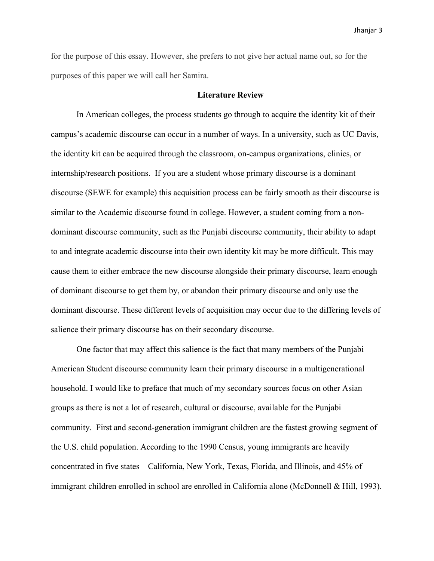for the purpose of this essay. However, she prefers to not give her actual name out, so for the purposes of this paper we will call her Samira.

# **Literature Review**

In American colleges, the process students go through to acquire the identity kit of their campus's academic discourse can occur in a number of ways. In a university, such as UC Davis, the identity kit can be acquired through the classroom, on-campus organizations, clinics, or internship/research positions. If you are a student whose primary discourse is a dominant discourse (SEWE for example) this acquisition process can be fairly smooth as their discourse is similar to the Academic discourse found in college. However, a student coming from a nondominant discourse community, such as the Punjabi discourse community, their ability to adapt to and integrate academic discourse into their own identity kit may be more difficult. This may cause them to either embrace the new discourse alongside their primary discourse, learn enough of dominant discourse to get them by, or abandon their primary discourse and only use the dominant discourse. These different levels of acquisition may occur due to the differing levels of salience their primary discourse has on their secondary discourse.

One factor that may affect this salience is the fact that many members of the Punjabi American Student discourse community learn their primary discourse in a multigenerational household. I would like to preface that much of my secondary sources focus on other Asian groups as there is not a lot of research, cultural or discourse, available for the Punjabi community. First and second-generation immigrant children are the fastest growing segment of the U.S. child population. According to the 1990 Census, young immigrants are heavily concentrated in five states – California, New York, Texas, Florida, and Illinois, and 45% of immigrant children enrolled in school are enrolled in California alone (McDonnell & Hill, 1993).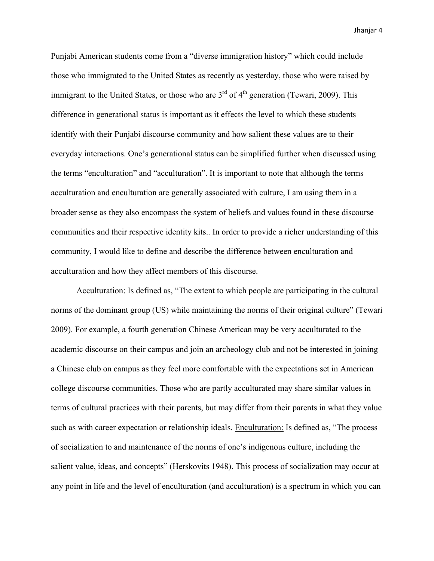Punjabi American students come from a "diverse immigration history" which could include those who immigrated to the United States as recently as yesterday, those who were raised by immigrant to the United States, or those who are  $3<sup>rd</sup>$  of  $4<sup>th</sup>$  generation (Tewari, 2009). This difference in generational status is important as it effects the level to which these students identify with their Punjabi discourse community and how salient these values are to their everyday interactions. One's generational status can be simplified further when discussed using the terms "enculturation" and "acculturation". It is important to note that although the terms acculturation and enculturation are generally associated with culture, I am using them in a broader sense as they also encompass the system of beliefs and values found in these discourse communities and their respective identity kits.. In order to provide a richer understanding of this community, I would like to define and describe the difference between enculturation and acculturation and how they affect members of this discourse.

Acculturation: Is defined as, "The extent to which people are participating in the cultural norms of the dominant group (US) while maintaining the norms of their original culture" (Tewari 2009). For example, a fourth generation Chinese American may be very acculturated to the academic discourse on their campus and join an archeology club and not be interested in joining a Chinese club on campus as they feel more comfortable with the expectations set in American college discourse communities. Those who are partly acculturated may share similar values in terms of cultural practices with their parents, but may differ from their parents in what they value such as with career expectation or relationship ideals. Enculturation: Is defined as, "The process of socialization to and maintenance of the norms of one's indigenous culture, including the salient value, ideas, and concepts" (Herskovits 1948). This process of socialization may occur at any point in life and the level of enculturation (and acculturation) is a spectrum in which you can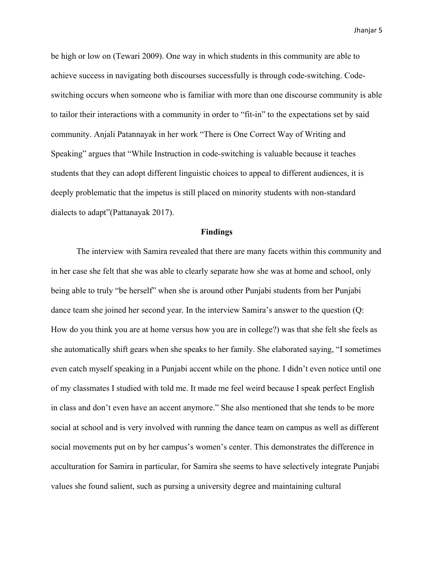be high or low on (Tewari 2009). One way in which students in this community are able to achieve success in navigating both discourses successfully is through code-switching. Codeswitching occurs when someone who is familiar with more than one discourse community is able to tailor their interactions with a community in order to "fit-in" to the expectations set by said community. Anjali Patannayak in her work "There is One Correct Way of Writing and Speaking" argues that "While Instruction in code-switching is valuable because it teaches students that they can adopt different linguistic choices to appeal to different audiences, it is deeply problematic that the impetus is still placed on minority students with non-standard dialects to adapt"(Pattanayak 2017).

#### **Findings**

The interview with Samira revealed that there are many facets within this community and in her case she felt that she was able to clearly separate how she was at home and school, only being able to truly "be herself" when she is around other Punjabi students from her Punjabi dance team she joined her second year. In the interview Samira's answer to the question (Q: How do you think you are at home versus how you are in college?) was that she felt she feels as she automatically shift gears when she speaks to her family. She elaborated saying, "I sometimes even catch myself speaking in a Punjabi accent while on the phone. I didn't even notice until one of my classmates I studied with told me. It made me feel weird because I speak perfect English in class and don't even have an accent anymore." She also mentioned that she tends to be more social at school and is very involved with running the dance team on campus as well as different social movements put on by her campus's women's center. This demonstrates the difference in acculturation for Samira in particular, for Samira she seems to have selectively integrate Punjabi values she found salient, such as pursing a university degree and maintaining cultural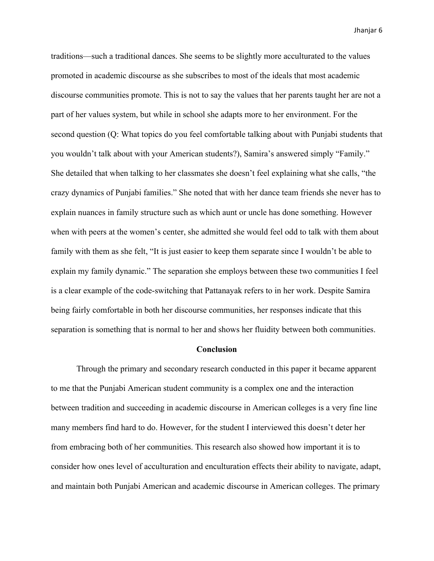traditions—such a traditional dances. She seems to be slightly more acculturated to the values promoted in academic discourse as she subscribes to most of the ideals that most academic discourse communities promote. This is not to say the values that her parents taught her are not a part of her values system, but while in school she adapts more to her environment. For the second question (Q: What topics do you feel comfortable talking about with Punjabi students that you wouldn't talk about with your American students?), Samira's answered simply "Family." She detailed that when talking to her classmates she doesn't feel explaining what she calls, "the crazy dynamics of Punjabi families." She noted that with her dance team friends she never has to explain nuances in family structure such as which aunt or uncle has done something. However when with peers at the women's center, she admitted she would feel odd to talk with them about family with them as she felt, "It is just easier to keep them separate since I wouldn't be able to explain my family dynamic." The separation she employs between these two communities I feel is a clear example of the code-switching that Pattanayak refers to in her work. Despite Samira being fairly comfortable in both her discourse communities, her responses indicate that this separation is something that is normal to her and shows her fluidity between both communities.

#### **Conclusion**

Through the primary and secondary research conducted in this paper it became apparent to me that the Punjabi American student community is a complex one and the interaction between tradition and succeeding in academic discourse in American colleges is a very fine line many members find hard to do. However, for the student I interviewed this doesn't deter her from embracing both of her communities. This research also showed how important it is to consider how ones level of acculturation and enculturation effects their ability to navigate, adapt, and maintain both Punjabi American and academic discourse in American colleges. The primary